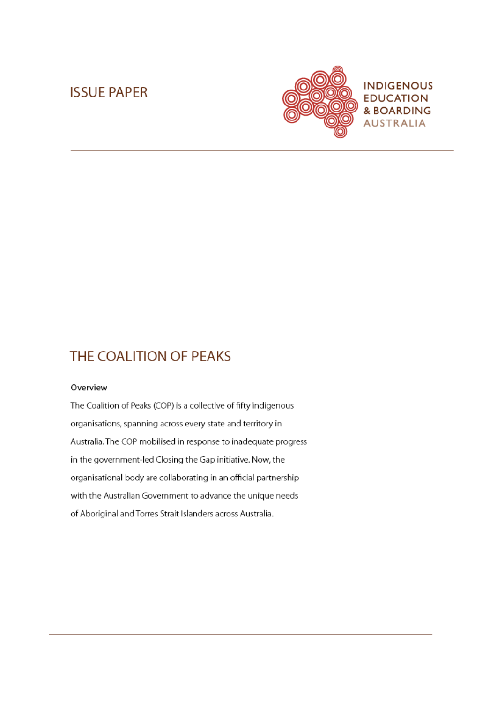# **ISSUE PAPER**



# THE COALITION OF PEAKS

#### Overview

The Coalition of Peaks (COP) is a collective of fifty indigenous organisations, spanning across every state and territory in Australia. The COP mobilised in response to inadequate progress in the government-led Closing the Gap initiative. Now, the organisational body are collaborating in an official partnership with the Australian Government to advance the unique needs of Aboriginal and Torres Strait Islanders across Australia.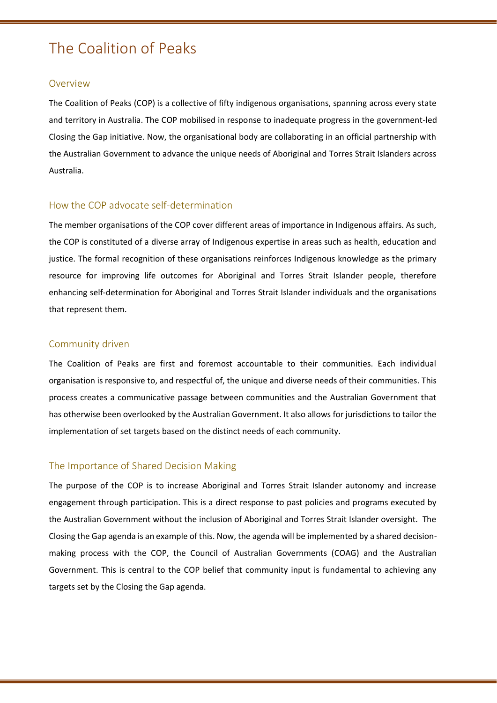# The Coalition of Peaks

#### **Overview**

The Coalition of Peaks (COP) is a collective of fifty indigenous organisations, spanning across every state and territory in Australia. The COP mobilised in response to inadequate progress in the government-led Closing the Gap initiative. Now, the organisational body are collaborating in an official partnership with the Australian Government to advance the unique needs of Aboriginal and Torres Strait Islanders across Australia.

## How the COP advocate self-determination

The member organisations of the COP cover different areas of importance in Indigenous affairs. As such, the COP is constituted of a diverse array of Indigenous expertise in areas such as health, education and justice. The formal recognition of these organisations reinforces Indigenous knowledge as the primary resource for improving life outcomes for Aboriginal and Torres Strait Islander people, therefore enhancing self-determination for Aboriginal and Torres Strait Islander individuals and the organisations that represent them.

#### Community driven

The Coalition of Peaks are first and foremost accountable to their communities. Each individual organisation is responsive to, and respectful of, the unique and diverse needs of their communities. This process creates a communicative passage between communities and the Australian Government that has otherwise been overlooked by the Australian Government. It also allows for jurisdictions to tailor the implementation of set targets based on the distinct needs of each community.

## The Importance of Shared Decision Making

The purpose of the COP is to increase Aboriginal and Torres Strait Islander autonomy and increase engagement through participation. This is a direct response to past policies and programs executed by the Australian Government without the inclusion of Aboriginal and Torres Strait Islander oversight. The Closing the Gap agenda is an example of this. Now, the agenda will be implemented by a shared decisionmaking process with the COP, the Council of Australian Governments (COAG) and the Australian Government. This is central to the COP belief that community input is fundamental to achieving any targets set by the Closing the Gap agenda.